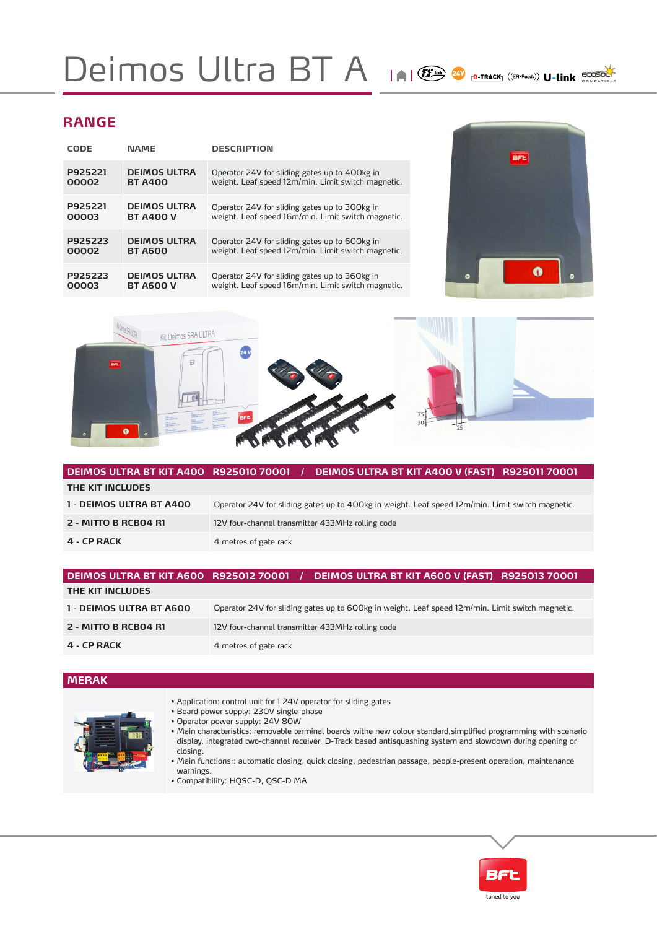## Deimos Ultra BT A IAI (E) A D-TRACK ((ER-ROO) U-Link ECOSOL

## **RANGE**

| CODE    | <b>NAME</b>         | <b>DESCRIPTION</b>                                 |
|---------|---------------------|----------------------------------------------------|
| P925221 | <b>DEIMOS ULTRA</b> | Operator 24V for sliding gates up to 400kg in      |
| 00002   | <b>BT A400</b>      | weight. Leaf speed 12m/min. Limit switch magnetic. |
| P925221 | <b>DEIMOS ULTRA</b> | Operator 24V for sliding gates up to 300kg in      |
| 00003   | <b>BT A400 V</b>    | weight. Leaf speed 16m/min. Limit switch magnetic. |
| P925223 | <b>DEIMOS ULTRA</b> | Operator 24V for sliding gates up to 600kg in      |
| 00002   | <b>BT A600</b>      | weight. Leaf speed 12m/min. Limit switch magnetic. |
| P925223 | <b>DEIMOS ULTRA</b> | Operator 24V for sliding gates up to 360kg in      |
| 00003   | <b>BT A600 V</b>    | weight. Leaf speed 16m/min. Limit switch magnetic. |





| DEIMOS ULTRA BT KIT A400 R925010 70001 / | DEIMOS ULTRA BT KIT A400 V (FAST) R925011 70001                                                  |  |  |  |
|------------------------------------------|--------------------------------------------------------------------------------------------------|--|--|--|
| THE KIT INCLUDES                         |                                                                                                  |  |  |  |
| 1 - DEIMOS ULTRA BT A400                 | Operator 24V for sliding gates up to 400kg in weight. Leaf speed 12m/min. Limit switch magnetic. |  |  |  |
| 2 - MITTO B RCB04 R1                     | 12V four-channel transmitter 433MHz rolling code                                                 |  |  |  |
| 4 - CP RACK                              | 4 metres of gate rack                                                                            |  |  |  |

| DEIMOS ULTRA BT KIT A600 R925012 70001 / | DEIMOS ULTRA BT KIT A600 V (FAST) R925013 70001                                                  |
|------------------------------------------|--------------------------------------------------------------------------------------------------|
| THE KIT INCLUDES                         |                                                                                                  |
| 1 - DEIMOS ULTRA BT A600                 | Operator 24V for sliding gates up to 600kg in weight. Leaf speed 12m/min. Limit switch magnetic. |
| 2 - MITTO B RCB04 R1                     | 12V four-channel transmitter 433MHz rolling code                                                 |
| 4 - CP RACK                              | 4 metres of gate rack                                                                            |

### **MERAK**



- Application: control unit for 1 24V operator for sliding gates
- Board power supply: 230V single-phase
- Operator power supply: 24V 80W
- Main characteristics: removable terminal boards withe new colour standard,simplified programming with scenario display, integrated two-channel receiver, D-Track based antisquashing system and slowdown during opening or closing.
- Main functions;: automatic closing, quick closing, pedestrian passage, people-present operation, maintenance warnings.
- Compatibility: HQSC-D, QSC-D MA